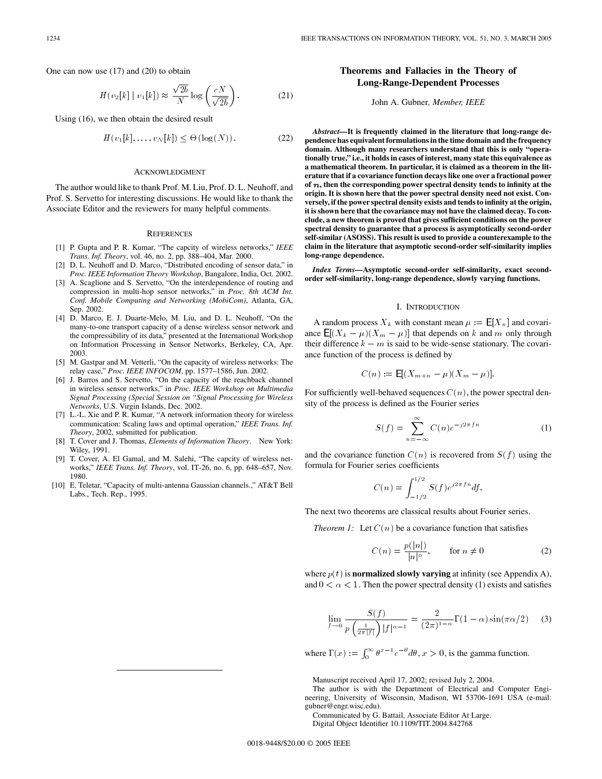One can now use (17) and (20) to obtain

$$
H(v_2[k] \mid v_1[k]) \approx \frac{\sqrt{2b}}{N} \log \left(\frac{cN}{\sqrt{2b}}\right). \tag{21}
$$

Using (16), we then obtain the desired result

$$
H(v_1[k],\ldots,v_N[k]) \leq \Theta\left(\log(N)\right). \tag{22}
$$

#### ACKNOWLEDGMENT

The author would like to thank Prof. M. Liu, Prof. D. L. Neuhoff, and Prof. S. Servetto for interesting discussions. He would like to thank the Associate Editor and the reviewers for many helpful comments.

#### **REFERENCES**

- [1] P. Gupta and P. R. Kumar, "The capcity of wireless networks," *IEEE Trans. Inf. Theory*, vol. 46, no. 2, pp. 388–404, Mar. 2000.
- [2] D. L. Neuhoff and D. Marco, "Distributed encoding of sensor data," in *Proc. IEEE Information Theory Workshop*, Bangalore, India, Oct. 2002.
- [3] A. Scaglione and S. Servetto, "On the interdependence of routing and compression in multi-hop sensor networks," in *Proc. 8th ACM Int. Conf. Mobile Computing and Networking (MobiCom)*, Atlanta, GA, Sep. 2002.
- [4] D. Marco, E. J. Duarte-Melo, M. Liu, and D. L. Neuhoff, "On the many-to-one transport capacity of a dense wireless sensor network and the compressibility of its data," presented at the International Workshop on Information Processing in Sensor Networks, Berkeley, CA, Apr. 2003.
- [5] M. Gastpar and M. Vetterli, "On the capacity of wireless networks: The relay case," *Proc. IEEE INFOCOM*, pp. 1577–1586, Jun. 2002.
- [6] J. Barros and S. Servetto, "On the capacity of the reachback channel in wireless sensor networks," in *Proc. IEEE Workshop on Multimedia Signal Processing (Special Session on "Signal Processing for Wireless Networks*, U.S. Virgin Islands, Dec. 2002.
- [7] L.-L. Xie and P. R. Kumar, "A network information theory for wireless communication: Scaling laws and optimal operation," *IEEE Trans. Inf. Theory*, 2002, submitted for publication.
- [8] T. Cover and J. Thomas, *Elements of Information Theory*. New York: Wiley, 1991.
- [9] T. Cover, A. El Gamal, and M. Salehi, "The capcity of wireless networks," *IEEE Trans. Inf. Theory*, vol. IT-26, no. 6, pp. 648–657, Nov. 1980.
- [10] E. Teletar, "Capacity of multi-antenna Gaussian channels.," AT&T Bell Labs., Tech. Rep., 1995.

# **Theorems and Fallacies in the Theory of Long-Range-Dependent Processes**

John A. Gubner*, Member, IEEE*

*Abstract—***It is frequently claimed in the literature that long-range dependence has equivalent formulations in the time domain and the frequency domain. Although many researchers understand that this is only "operationally true," i.e., it holds in cases of interest, many state this equivalence as** a mathematical theorem. In particular, it is claimed as a theorem in the lit**erature that if a covariance function decays like one over a fractional power** of  $n$ , then the corresponding power spectral density tends to infinity at the **origin. It is shown here that the power spectral density need not exist. Conversely,if the power spectral density exists and tends to infinity at the origin, it is shown here that the covariance may not have the claimed decay. To conclude,a new theorem is proved that gives sufficient conditions on the power spectral density to guarantee that a process is asymptotically second-order self-similar (ASOSS). This result is used to provide a counterexample to the claim in the literature that asymptotic second-order self-similarity implies long-range dependence.**

Index Terms-Asymptotic second-order self-similarity, exact secondorder self-similarity, long-range dependence, slowly varying functions.

### I. INTRODUCTION

A random process  $X_k$  with constant mean  $\mu := \mathbb{E}[X_n]$  and covariance  $\mathsf{E}[(X_k - \mu)(X_m - \mu)]$  that depends on k and m only through their difference  $k - m$  is said to be wide-sense stationary. The covariance function of the process is defined by

$$
C(n) := \mathsf{E}[(X_{m+n} - \mu)(X_m - \mu)].
$$

For sufficiently well-behaved sequences  $C(n)$ , the power spectral density of the process is defined as the Fourier series

$$
S(f) = \sum_{n = -\infty}^{\infty} C(n)e^{-j2\pi fn}
$$
 (1)

and the covariance function  $C(n)$  is recovered from  $S(f)$  using the formula for Fourier series coefficients

$$
C(n) = \int_{-1/2}^{1/2} S(f) e^{j2\pi f n} df.
$$

The next two theorems are classical results about Fourier series.

*Theorem 1:* Let  $C(n)$  be a covariance function that satisfies

$$
C(n) = \frac{p(|n|)}{|n|^{\alpha}}, \qquad \text{for } n \neq 0
$$
 (2)

where  $p(t)$  is **normalized slowly varying** at infinity (see Appendix A), and  $0 < \alpha < 1$ . Then the power spectral density (1) exists and satisfies

$$
\lim_{f \to 0} \frac{S(f)}{p\left(\frac{1}{2\pi|f|}\right)|f|^{\alpha - 1}} = \frac{2}{(2\pi)^{1-\alpha}} \Gamma(1 - \alpha) \sin(\pi \alpha/2) \tag{3}
$$

where  $\Gamma(x) := \int_0^\infty \theta^{x-1} e^{-\theta} d\theta$ ,  $x > 0$ , is the gamma function.

Manuscript received April 17, 2002; revised July 2, 2004.

Communicated by G. Battail, Associate Editor At Large.

Digital Object Identifier 10.1109/TIT.2004.842768

The author is with the Department of Electrical and Computer Engineering, University of Wisconsin, Madison, WI 53706-1691 USA (e-mail: gubner@engr.wisc.edu).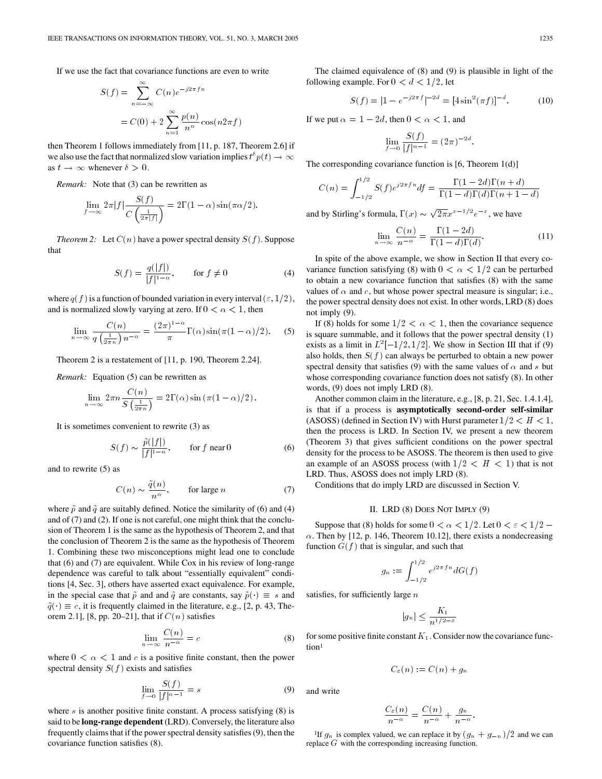If we use the fact that covariance functions are even to write

$$
S(f) = \sum_{n=-\infty}^{\infty} C(n)e^{-j2\pi fn}
$$
  
=  $C(0) + 2\sum_{n=1}^{\infty} \frac{p(n)}{n^{\alpha}} \cos(n2\pi f)$ 

then Theorem 1 follows immediately from [11, p. 187, Theorem 2.6] if we also use the fact that normalized slow variation implies  $t^{\delta} p(t) \to \infty$ as  $t \to \infty$  whenever  $\delta > 0$ .

*Remark:* Note that (3) can be rewritten as

$$
\lim_{f \to \infty} 2\pi |f| \frac{S(f)}{C\left(\frac{1}{2\pi |f|}\right)} = 2\Gamma(1-\alpha)\sin(\pi \alpha/2).
$$

*Theorem 2:* Let  $C(n)$  have a power spectral density  $S(f)$ . Suppose that

$$
S(f) = \frac{q(|f|)}{|f|^{1-\alpha}}, \qquad \text{for } f \neq 0 \tag{4}
$$

where  $q(f)$  is a function of bounded variation in every interval  $(\varepsilon, 1/2)$ , and is normalized slowly varying at zero. If  $0 < \alpha < 1$ , then

$$
\lim_{n \to \infty} \frac{C(n)}{q\left(\frac{1}{2\pi n}\right)n^{-\alpha}} = \frac{(2\pi)^{1-\alpha}}{\pi} \Gamma(\alpha) \sin(\pi(1-\alpha)/2). \tag{5}
$$

Theorem 2 is a restatement of [11, p. 190, Theorem 2.24].

*Remark:* Equation (5) can be rewritten as

$$
\lim_{n \to \infty} 2\pi n \frac{C(n)}{S\left(\frac{1}{2\pi n}\right)} = 2\Gamma(\alpha) \sin\left(\pi (1-\alpha)/2\right).
$$

It is sometimes convenient to rewrite (3) as

$$
S(f) \sim \frac{\tilde{p}(|f|)}{|f|^{1-\alpha}}, \qquad \text{for } f \text{ near } 0 \tag{6}
$$

and to rewrite (5) as

$$
C(n) \sim \frac{\tilde{q}(n)}{n^{\alpha}}, \qquad \text{for large } n \tag{7}
$$

where  $\tilde{p}$  and  $\tilde{q}$  are suitably defined. Notice the similarity of (6) and (4) and of (7) and (2). If one is not careful, one might think that the conclusion of Theorem 1 is the same as the hypothesis of Theorem 2, and that the conclusion of Theorem 2 is the same as the hypothesis of Theorem 1. Combining these two misconceptions might lead one to conclude that (6) and (7) are equivalent. While Cox in his review of long-range dependence was careful to talk about "essentially equivalent" conditions [4, Sec. 3], others have asserted exact equivalence. For example, in the special case that  $\tilde{p}$  and and  $\tilde{q}$  are constants, say  $\tilde{p}(\cdot) \equiv s$  and  $\tilde{q}(\cdot) \equiv c$ , it is frequently claimed in the literature, e.g., [2, p. 43, Theorem 2.1], [8, pp. 20–21], that if  $C(n)$  satisfies

$$
\lim_{n \to \infty} \frac{C(n)}{n^{-\alpha}} = c \tag{8}
$$

where  $0 < \alpha < 1$  and c is a positive finite constant, then the power spectral density  $S(f)$  exists and satisfies

$$
\lim_{f \to 0} \frac{S(f)}{|f|^{\alpha - 1}} = s \tag{9}
$$

where  $s$  is another positive finite constant. A process satisfying  $(8)$  is said to be **long-range dependent** (LRD). Conversely, the literature also frequently claims that if the power spectral density satisfies (9), then the covariance function satisfies (8).

The claimed equivalence of (8) and (9) is plausible in light of the following example. For  $0 < d < 1/2$ , let

$$
S(f) = |1 - e^{-j2\pi f}|^{-2d} = [4\sin^2(\pi f)]^{-d}.
$$
 (10)

If we put  $\alpha = 1 - 2d$ , then  $0 < \alpha < 1$ , and

$$
\lim_{f \to 0} \frac{S(f)}{|f|^{\alpha - 1}} = (2\pi)^{-2d}.
$$

The corresponding covariance function is [6, Theorem 1(d)]

$$
C(n) = \int_{-1/2}^{1/2} S(f)e^{j2\pi fn} df = \frac{\Gamma(1 - 2d)\Gamma(n + d)}{\Gamma(1 - d)\Gamma(d)\Gamma(n + 1 - d)}
$$

and by Stirling's formula,  $\Gamma(x) \sim \sqrt{2\pi}x^{x-1/2}e^{-x}$ , we have

$$
\lim_{n \to \infty} \frac{C(n)}{n^{-\alpha}} = \frac{\Gamma(1 - 2d)}{\Gamma(1 - d)\Gamma(d)}.
$$
\n(11)

In spite of the above example, we show in Section II that every covariance function satisfying (8) with  $0 < \alpha < 1/2$  can be perturbed to obtain a new covariance function that satisfies (8) with the same values of  $\alpha$  and c, but whose power spectral measure is singular; i.e., the power spectral density does not exist. In other words, LRD (8) does not imply (9).

If (8) holds for some  $1/2 < \alpha < 1$ , then the covariance sequence is square summable, and it follows that the power spectral density (1) exists as a limit in  $L^2[-1/2, 1/2]$ . We show in Section III that if (9) also holds, then  $S(f)$  can always be perturbed to obtain a new power spectral density that satisfies (9) with the same values of  $\alpha$  and s but whose corresponding covariance function does not satisfy (8). In other words, (9) does not imply LRD (8).

Another common claim in the literature, e.g., [8, p. 21, Sec. 1.4.1.4], is that if a process is **asymptotically second-order self-similar** (ASOSS) (defined in Section IV) with Hurst parameter  $1/2 < H < 1$ , then the process is LRD. In Section IV, we present a new theorem (Theorem 3) that gives sufficient conditions on the power spectral density for the process to be ASOSS. The theorem is then used to give an example of an ASOSS process (with  $1/2 < H < 1$ ) that is not LRD. Thus, ASOSS does not imply LRD (8).

Conditions that do imply LRD are discussed in Section V.

## II. LRD (8) DOES NOT IMPLY (9)

Suppose that (8) holds for some  $0 < \alpha < 1/2$ . Let  $0 < \varepsilon < 1/2$  –  $\alpha$ . Then by [12, p. 146, Theorem 10.12], there exists a nondecreasing function  $G(f)$  that is singular, and such that

$$
g_n := \int_{-1/2}^{1/2} e^{j2\pi fn} dG(f)
$$

satisfies, for sufficiently large  $n$ 

$$
|g_n| \le \frac{K_1}{n^{1/2 - \varepsilon}}
$$

for some positive finite constant  $K_1$ . Consider now the covariance function<sup>1</sup>

$$
C_{\varepsilon}(n) := C(n) + g_n
$$

and write

$$
\frac{C_{\varepsilon}(n)}{n^{-\alpha}} = \frac{C(n)}{n^{-\alpha}} + \frac{g_n}{n^{-\alpha}}.
$$

<sup>1</sup>If  $g_n$  is complex valued, we can replace it by  $(g_n + g_{-n})/2$  and we can replace G with the corresponding increasing function.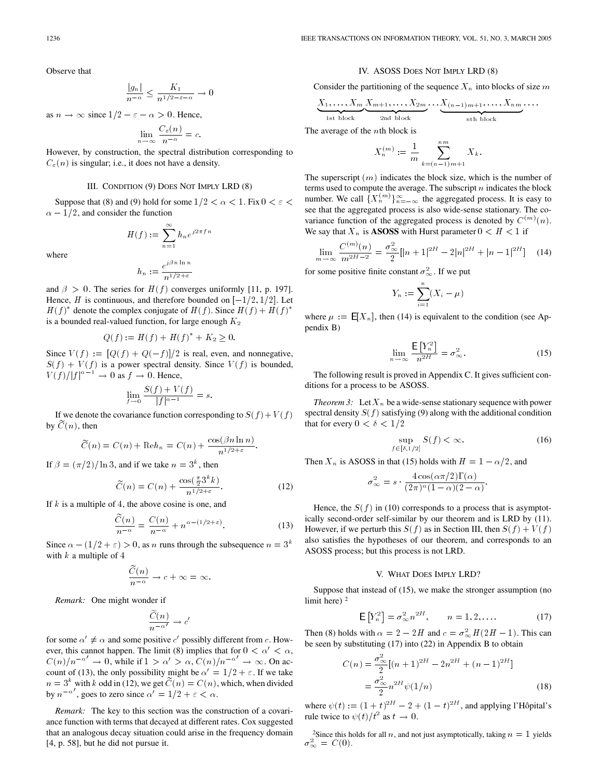Observe that

$$
\frac{|g_n|}{n^{-\alpha}} \le \frac{K_1}{n^{1/2 - \varepsilon - \alpha}} \to 0
$$

as  $n \to \infty$  since  $1/2 - \varepsilon - \alpha > 0$ . Hence,

$$
\lim_{n \to \infty} \frac{C_{\varepsilon}(n)}{n^{-\alpha}} = c.
$$

However, by construction, the spectral distribution corresponding to  $C_{\varepsilon}(n)$  is singular; i.e., it does not have a density.

#### III. CONDITION (9) DOES NOT IMPLY LRD (8)

Suppose that (8) and (9) hold for some  $1/2 < \alpha < 1$ . Fix  $0 < \varepsilon <$  $\alpha = 1/2$ , and consider the function

$$
H(f) := \sum_{n=1}^{\infty} h_n e^{j2\pi fn}
$$

where

$$
h_n:=\frac{e^{j\beta n\ln n}}{n^{1/2+\varepsilon}}
$$

and  $\beta > 0$ . The series for  $H(f)$  converges uniformly [11, p. 197]. Hence, H is continuous, and therefore bounded on  $[-1/2, 1/2]$ . Let  $H(f)^*$  denote the complex conjugate of  $H(f)$ . Since  $H(f) + H(f)^*$ is a bounded real-valued function, for large enough  $K_2$ 

$$
Q(f) := H(f) + H(f)^* + K_2 \ge 0.
$$

Since  $V(f) := \frac{[Q(f) + Q(-f)]}{2}$  is real, even, and nonnegative,  $S(f) + V(f)$  is a power spectral density. Since  $V(f)$  is bounded,  $V(f)/|f|^{\alpha-1} \to 0$  as  $f \to 0$ . Hence,

$$
\lim_{f\to 0}\frac{S(f)+V(f)}{|f|^{\alpha-1}}=s.
$$

If we denote the covariance function corresponding to  $S(f) + V(f)$ by  $\widetilde{C}(n)$ , then

$$
\widetilde{C}(n) = C(n) + \mathrm{Re}h_n = C(n) + \frac{\cos(\beta n \ln n)}{n^{1/2 + \varepsilon}}.
$$

If  $\beta = (\pi/2)/\ln 3$ , and if we take  $n = 3<sup>k</sup>$ , then

$$
\widetilde{C}(n) = C(n) + \frac{\cos(\frac{\pi}{2}3^k k)}{n^{1/2 + \varepsilon}}.
$$
\n(12)

If  $k$  is a multiple of 4, the above cosine is one, and

$$
\frac{\tilde{C}(n)}{n^{-\alpha}} = \frac{C(n)}{n^{-\alpha}} + n^{\alpha - (1/2 + \varepsilon)}.
$$
\n(13)

Since  $\alpha - (1/2 + \varepsilon) > 0$ , as n runs through the subsequence  $n = 3^k$ with  $k$  a multiple of 4

$$
\frac{\widetilde{C}(n)}{n^{-\alpha}} \to c + \infty = \infty.
$$

*Remark:* One might wonder if

$$
\frac{\widetilde{C}(n)}{n^{-\alpha'}} \to c'
$$

for some  $\alpha' \neq \alpha$  and some positive c' possibly different from c. However, this cannot happen. The limit (8) implies that for  $0 < \alpha' < \alpha$ ,  $C(n)/n^{-\alpha'} \to 0$ , while if  $1 > \alpha' > \alpha$ ,  $C(n)/n^{-\alpha'} \to \infty$ . On account of (13), the only possibility might be  $\alpha' = 1/2 + \epsilon$ . If we take  $n = 3<sup>k</sup>$  with k odd in (12), we get  $\tilde{C}(n) = C(n)$ , which, when divided by  $n^{-\alpha'}$ , goes to zero since  $\alpha' = 1/2 + \epsilon < \alpha$ .

*Remark:* The key to this section was the construction of a covariance function with terms that decayed at different rates. Cox suggested that an analogous decay situation could arise in the frequency domain [4, p. 58], but he did not pursue it.

### IV. ASOSS DOES NOT IMPLY LRD (8)

Consider the partitioning of the sequence  $X_n$  into blocks of size m

$$
\underbrace{X_1,\ldots,X_m}_{1\text{st block}}\underbrace{X_{m+1},\ldots,X_{2m}}_{2\text{nd block}}\ldots\underbrace{X_{(n-1)m+1},\ldots,X_{nm}}_{n\text{th block}}\ldots
$$

The average of the  $n$ th block is

$$
X_n^{(m)} := \frac{1}{m} \sum_{k=(n-1)m+1}^{nm} X_k.
$$

The superscript  $(m)$  indicates the block size, which is the number of terms used to compute the average. The subscript  $n$  indicates the block number. We call  $\{X_n^{(m)}\}_{n=-\infty}^{\infty}$  the aggregated process. It is easy to see that the aggregated process is also wide-sense stationary. The covariance function of the aggregated process is denoted by  $C^{(m)}(n)$ . We say that  $X_n$  is **ASOSS** with Hurst parameter  $0 < H < 1$  if

$$
\lim_{m \to \infty} \frac{C^{(m)}(n)}{m^{2H-2}} = \frac{\sigma_{\infty}^2}{2} [ |n+1|^{2H} - 2|n|^{2H} + |n-1|^{2H} ] \tag{14}
$$

for some positive finite constant  $\sigma_{\infty}^2$ . If we put

$$
Y_n := \sum_{i=1}^n (X_i - \mu)
$$

where  $\mu := \mathbb{E}[X_n]$ , then (14) is equivalent to the condition (see Appendix B)

$$
\lim_{n \to \infty} \frac{\mathsf{E}\left[Y_n^2\right]}{n^{2H}} = \sigma_\infty^2.
$$
 (15)

The following result is proved in Appendix C. It gives sufficient conditions for a process to be ASOSS.

*Theorem 3:* Let  $X_n$  be a wide-sense stationary sequence with power spectral density  $S(f)$  satisfying (9) along with the additional condition that for every  $0 < \delta < 1/2$ 

$$
\sup_{f \in [\delta, 1/2]} S(f) < \infty. \tag{16}
$$

Then  $X_n$  is ASOSS in that (15) holds with  $H = 1 - \alpha/2$ , and

$$
\sigma_{\infty}^2 = s \cdot \frac{4 \cos(\alpha \pi/2) \Gamma(\alpha)}{(2 \pi)^{\alpha} (1 - \alpha) (2 - \alpha)}.
$$

Hence, the  $S(f)$  in (10) corresponds to a process that is asymptotically second-order self-similar by our theorem and is LRD by (11). However, if we perturb this  $S(f)$  as in Section III, then  $S(f) + V(f)$ also satisfies the hypotheses of our theorem, and corresponds to an ASOSS process; but this process is not LRD.

#### V. WHAT DOES IMPLY LRD?

Suppose that instead of (15), we make the stronger assumption (no limit here) <sup>2</sup>

$$
\mathsf{E}\left[Y_n^2\right] = \sigma_{\infty}^2 n^{2H}, \qquad n = 1, 2, \dots \tag{17}
$$

Then (8) holds with  $\alpha = 2 - 2H$  and  $c = \sigma_{\infty}^2 H(2H - 1)$ . This can be seen by substituting (17) into (22) in Appendix B to obtain

$$
C(n) = \frac{\sigma_{\infty}^2}{2} [(n+1)^{2H} - 2n^{2H} + (n-1)^{2H}]
$$
  
= 
$$
\frac{\sigma_{\infty}^2}{2} n^{2H} \psi(1/n)
$$
 (18)

where  $\psi(t) := (1 + t)^{2H} - 2 + (1 - t)^{2H}$ , and applying l'Hôpital's rule twice to  $\psi(t)/t^2$  as  $t \to 0$ .

<sup>2</sup>Since this holds for all *n*, and not just asymptotically, taking  $n = 1$  yields  $\sigma_{\infty}^2 = C(0).$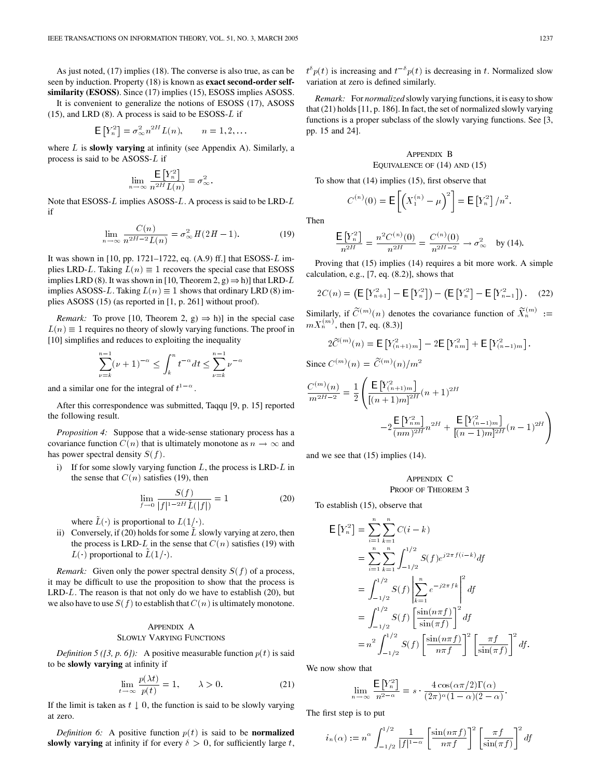As just noted, (17) implies (18). The converse is also true, as can be seen by induction. Property (18) is known as **exact second-order selfsimilarity (ESOSS)**. Since (17) implies (15), ESOSS implies ASOSS.

It is convenient to generalize the notions of ESOSS (17), ASOSS  $(15)$ , and LRD  $(8)$ . A process is said to be ESOSS-L if

$$
\mathsf{E}\left[Y_n^2\right] = \sigma_\infty^2 n^{2H} L(n), \qquad n = 1, 2, \dots
$$

where L is **slowly varying** at infinity (see Appendix A). Similarly, a process is said to be ASOSS-L if

$$
\lim_{n \to \infty} \frac{\mathsf{E}\left[Y_n^2\right]}{n^{2H} L(n)} = \sigma_\infty^2.
$$

Note that ESOSS-L implies ASOSS-L. A process is said to be LRD-L if

$$
\lim_{n \to \infty} \frac{C(n)}{n^{2H-2}L(n)} = \sigma_{\infty}^2 H(2H - 1). \tag{19}
$$

It was shown in  $[10, pp. 1721-1722, eq. (A.9) ff.]$  that ESOSS-L implies LRD-L. Taking  $L(n) \equiv 1$  recovers the special case that ESOSS implies LRD (8). It was shown in [10, Theorem 2, g)  $\Rightarrow$  h)] that LRD-L implies ASOSS-L. Taking  $L(n) \equiv 1$  shows that ordinary LRD (8) implies ASOSS (15) (as reported in [1, p. 261] without proof).

*Remark:* To prove [10, Theorem 2, g)  $\Rightarrow$  h)] in the special case  $L(n) \equiv 1$  requires no theory of slowly varying functions. The proof in [10] simplifies and reduces to exploiting the inequality

$$
\sum_{\nu=k}^{n-1} (\nu+1)^{-\alpha} \le \int_k^n t^{-\alpha} dt \le \sum_{\nu=k}^{n-1} \nu^{-\alpha}
$$

and a similar one for the integral of  $t^{1-\alpha}$ .

After this correspondence was submitted, Taqqu [9, p. 15] reported the following result.

*Proposition 4:* Suppose that a wide-sense stationary process has a covariance function  $C(n)$  that is ultimately monotone as  $n \to \infty$  and has power spectral density  $S(f)$ .

i) If for some slowly varying function  $L$ , the process is LRD- $L$  in the sense that  $C(n)$  satisfies (19), then

$$
\lim_{f \to 0} \frac{S(f)}{|f|^{1-2H}\tilde{L}(|f|)} = 1
$$
\n(20)

where  $L(\cdot)$  is proportional to  $L(1/\cdot)$ .

ii) Conversely, if (20) holds for some  $\tilde{L}$  slowly varying at zero, then the process is LRD-L in the sense that  $C(n)$  satisfies (19) with  $L(\cdot)$  proportional to  $L(1/\cdot)$ .

*Remark:* Given only the power spectral density  $S(f)$  of a process, it may be difficult to use the proposition to show that the process is  $LRD-L$ . The reason is that not only do we have to establish (20), but we also have to use  $S(f)$  to establish that  $C(n)$  is ultimately monotone.

### APPENDIX A SLOWLY VARYING FUNCTIONS

*Definition 5 ([3, p. 6]):* A positive measurable function  $p(t)$  is said to be **slowly varying** at infinity if

$$
\lim_{t \to \infty} \frac{p(\lambda t)}{p(t)} = 1, \qquad \lambda > 0. \tag{21}
$$

If the limit is taken as  $t \downarrow 0$ , the function is said to be slowly varying at zero.

*Definition 6:* A positive function  $p(t)$  is said to be **normalized slowly varying** at infinity if for every  $\delta > 0$ , for sufficiently large t,

 $t^{\delta} p(t)$  is increasing and  $t^{-\delta} p(t)$  is decreasing in t. Normalized slow variation at zero is defined similarly.

*Remark:* For *normalized* slowly varying functions, it is easy to show that (21) holds [11, p. 186]. In fact, the set of normalized slowly varying functions is a proper subclass of the slowly varying functions. See [3, pp. 15 and 24].

APPENDIX 
$$
B
$$
  
EQUIVALENCE OF (14) AND (15)

To show that (14) implies (15), first observe that

$$
C^{(n)}(0) = \mathsf{E}\left[ \left( X_1^{(n)} - \mu \right)^2 \right] = \mathsf{E}\left[ Y_n^2 \right] / n^2.
$$

Then

$$
\frac{\mathsf{E}\left[Y_n^2\right]}{n^{2H}} = \frac{n^2 C^{(n)}(0)}{n^{2H}} = \frac{C^{(n)}(0)}{n^{2H-2}} \to \sigma_\infty^2 \text{ by (14).}
$$

Proving that (15) implies (14) requires a bit more work. A simple calculation, e.g., [7, eq. (8.2)], shows that

$$
2C(n) = \left(\mathsf{E}\left[Y_{n+1}^{2}\right] - \mathsf{E}\left[Y_{n}^{2}\right]\right) - \left(\mathsf{E}\left[Y_{n}^{2}\right] - \mathsf{E}\left[Y_{n-1}^{2}\right]\right). \tag{22}
$$

Similarly, if  $\widetilde{C}^{(m)}(n)$  denotes the covariance function of  $\widetilde{X}_n^{(m)}$  :=  $mX_n^{(m)}$ , then [7, eq. (8.3)]

$$
2\widetilde{C}^{(m)}(n) = \mathsf{E}\left[Y_{(n+1)m}^2\right] - 2\mathsf{E}\left[Y_{nm}^2\right] + \mathsf{E}\left[Y_{(n-1)m}^2\right].
$$

Since 
$$
C^{(m)}(n) = \widetilde{C}^{(m)}(n)/m^2
$$

$$
\begin{split} \frac{C^{(m)}(n)}{m^{2H-2}}&=\frac{1}{2}\left(\frac{\mathsf{E}\left[Y^2_{(n+1)m}\right]}{\left[(n+1)m\right]^{2H}}(n+1)^{2H}\right.\\&\left.-2\frac{\mathsf{E}\left[Y^2_{nm}\right]}{(nm)^{2H}}n^{2H}+\frac{\mathsf{E}\left[Y^2_{(n-1)m}\right]}{\left[(n-1)m\right]^{2H}}(n-1)^{2H}\right)\right.\\ \end{split}
$$

and we see that (15) implies (14).

APPENDIX C PROOF OF THEOREM 3

To establish (15), observe that

$$
\begin{split} \mathsf{E}\left[Y_{n}^{2}\right] &= \sum_{i=1}^{n} \sum_{k=1}^{n} C(i-k) \\ &= \sum_{i=1}^{n} \sum_{k=1}^{n} \int_{-1/2}^{1/2} S(f)e^{j2\pi f(i-k)} df \\ &= \int_{-1/2}^{1/2} S(f) \left| \sum_{k=1}^{n} e^{-j2\pi f k} \right|^{2} df \\ &= \int_{-1/2}^{1/2} S(f) \left[ \frac{\sin(n\pi f)}{\sin(\pi f)} \right]^{2} df \\ &= n^{2} \int_{-1/2}^{1/2} S(f) \left[ \frac{\sin(n\pi f)}{n\pi f} \right]^{2} \left[ \frac{\pi f}{\sin(\pi f)} \right]^{2} df. \end{split}
$$

We now show that

$$
\lim_{n \to \infty} \frac{\mathsf{E}\left[Y_n^2\right]}{n^{2-\alpha}} = s \cdot \frac{4\cos(\alpha\pi/2)\Gamma(\alpha)}{(2\pi)^{\alpha}(1-\alpha)(2-\alpha)}
$$

:

The first step is to put

$$
i_n(\alpha) := n^{\alpha} \int_{-\frac{1}{2}}^{\frac{1}{2}} \frac{1}{|f|^{1-\alpha}} \left[ \frac{\sin(n\pi f)}{n\pi f} \right]^2 \left[ \frac{\pi f}{\sin(\pi f)} \right]^2 df
$$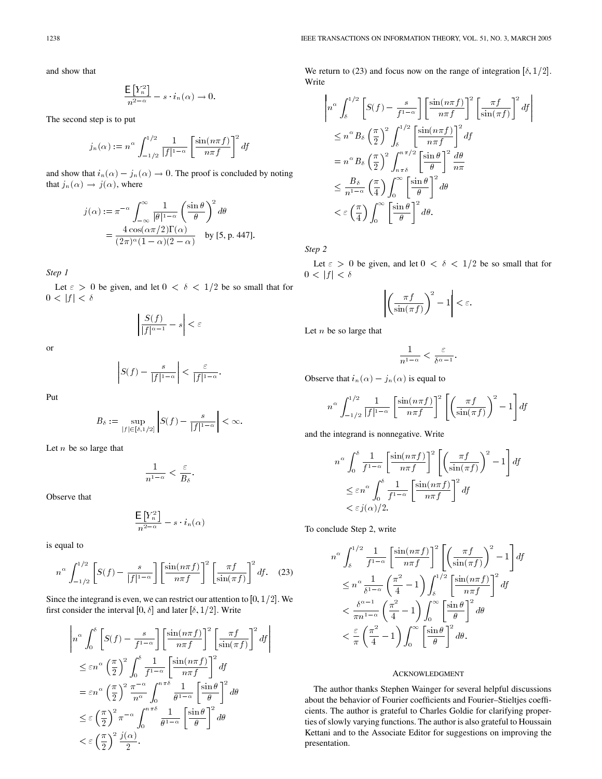and show that

$$
\frac{\mathsf{E}\left[Y_n^2\right]}{n^{2-\alpha}} - s \cdot i_n(\alpha) \to 0.
$$

The second step is to put

$$
j_n(\alpha) := n^{\alpha} \int_{-1/2}^{1/2} \frac{1}{|f|^{1-\alpha}} \left[ \frac{\sin(n\pi f)}{n\pi f} \right]^2 df
$$

and show that  $i_n(\alpha) - j_n(\alpha) \rightarrow 0$ . The proof is concluded by noting

that 
$$
j_n(\alpha) \to j(\alpha)
$$
, where  
\n
$$
j(\alpha) := \pi^{-\alpha} \int_{-\infty}^{\infty} \frac{1}{|\theta|^{1-\alpha}} \left(\frac{\sin \theta}{\theta}\right)^2 d\theta
$$
\n
$$
= \frac{4 \cos(\alpha \pi/2) \Gamma(\alpha)}{(2\pi)^{\alpha} (1-\alpha)(2-\alpha)} \quad \text{by [5, p. 447].}
$$

*Step 1*

Let  $\varepsilon > 0$  be given, and let  $0 < \delta < 1/2$  be so small that for  $0 < |f| < \delta$ 

> $S(f)$  $\left| \frac{\partial (f)}{\partial f} \right| \leq \varepsilon$

or

$$
S(f)-\frac{s}{|f|^{1-\alpha}}\bigg|<\frac{\varepsilon}{|f|^{1-\alpha}}.
$$

Put

$$
B_{\delta} := \sup_{|f| \in [\delta, 1/2]} \left| S(f) - \frac{s}{|f|^{1-\alpha}} \right| < \infty.
$$

Let  $n$  be so large that

$$
\frac{1}{n^{1-\alpha}}<\frac{\varepsilon}{B_\delta}.
$$

Observe that

$$
\frac{\mathsf{E}\left[Y_n^2\right]}{n^{2-\alpha}} - s \cdot i_n(\alpha)
$$

is equal to

$$
n^{\alpha} \int_{-1/2}^{1/2} \left[ S(f) - \frac{s}{|f|^{1-\alpha}} \right] \left[ \frac{\sin(n\pi f)}{n\pi f} \right]^2 \left[ \frac{\pi f}{\sin(\pi f)} \right]^2 df. \quad (23)
$$

Since the integrand is even, we can restrict our attention to  $[0, 1/2]$ . We first consider the interval [0,  $\delta$ ] and later [ $\delta$ , 1/2]. Write

$$
\left| n^{\alpha} \int_{0}^{\delta} \left[ S(f) - \frac{s}{f^{1-\alpha}} \right] \left[ \frac{\sin(n\pi f)}{n\pi f} \right]^2 \left[ \frac{\pi f}{\sin(\pi f)} \right]^2 df \right|
$$
  
\n
$$
\leq \varepsilon n^{\alpha} \left( \frac{\pi}{2} \right)^2 \int_{0}^{\delta} \frac{1}{f^{1-\alpha}} \left[ \frac{\sin(n\pi f)}{n\pi f} \right]^2 df
$$
  
\n
$$
= \varepsilon n^{\alpha} \left( \frac{\pi}{2} \right)^2 \frac{\pi^{-\alpha}}{n^{\alpha}} \int_{0}^{n\pi\delta} \frac{1}{\theta^{1-\alpha}} \left[ \frac{\sin \theta}{\theta} \right]^2 d\theta
$$
  
\n
$$
\leq \varepsilon \left( \frac{\pi}{2} \right)^2 \pi^{-\alpha} \int_{0}^{n\pi\delta} \frac{1}{\theta^{1-\alpha}} \left[ \frac{\sin \theta}{\theta} \right]^2 d\theta
$$
  
\n
$$
< \varepsilon \left( \frac{\pi}{2} \right)^2 \frac{j(\alpha)}{2}.
$$

We return to (23) and focus now on the range of integration  $[\delta, 1/2]$ . Write

$$
\left| n^{\alpha} \int_{\delta}^{1/2} \left[ S(f) - \frac{s}{f^{1-\alpha}} \right] \left[ \frac{\sin(n\pi f)}{n\pi f} \right]^2 \left[ \frac{\pi f}{\sin(\pi f)} \right]^2 df \right|
$$
  
\n
$$
\leq n^{\alpha} B_{\delta} \left( \frac{\pi}{2} \right)^2 \int_{\delta}^{1/2} \left[ \frac{\sin(n\pi f)}{n\pi f} \right]^2 df
$$
  
\n
$$
= n^{\alpha} B_{\delta} \left( \frac{\pi}{2} \right)^2 \int_{n\pi\delta}^{n\pi/2} \left[ \frac{\sin \theta}{\theta} \right]^2 \frac{d\theta}{n\pi}
$$
  
\n
$$
\leq \frac{B_{\delta}}{n^{1-\alpha}} \left( \frac{\pi}{4} \right) \int_0^{\infty} \left[ \frac{\sin \theta}{\theta} \right]^2 d\theta
$$
  
\n
$$
< \varepsilon \left( \frac{\pi}{4} \right) \int_0^{\infty} \left[ \frac{\sin \theta}{\theta} \right]^2 d\theta.
$$

*Step 2*

Let  $\varepsilon > 0$  be given, and let  $0 < \delta < 1/2$  be so small that for  $0 \, < \, |f| \, < \, \delta$ 

$$
\left| \left( \frac{\pi f}{\sin(\pi f)} \right)^2 - 1 \right| < \varepsilon.
$$

Let  $n$  be so large that

$$
\frac{1}{n^{1-\alpha}} < \frac{\varepsilon}{\delta^{\alpha-1}}.
$$

Observe that  $i_n(\alpha) - j_n(\alpha)$  is equal to

$$
n^{\alpha} \int_{-1/2}^{1/2} \frac{1}{|f|^{1-\alpha}} \left[ \frac{\sin(n\pi f)}{n\pi f} \right]^2 \left[ \left( \frac{\pi f}{\sin(\pi f)} \right)^2 - 1 \right] df
$$

and the integrand is nonnegative. Write

$$
n^{\alpha} \int_{0}^{\delta} \frac{1}{f^{1-\alpha}} \left[ \frac{\sin(n\pi f)}{n\pi f} \right]^{2} \left[ \left( \frac{\pi f}{\sin(\pi f)} \right)^{2} - 1 \right] df
$$
  

$$
\leq \varepsilon n^{\alpha} \int_{0}^{\delta} \frac{1}{f^{1-\alpha}} \left[ \frac{\sin(n\pi f)}{n\pi f} \right]^{2} df
$$
  

$$
< \varepsilon j(\alpha)/2.
$$

To conclude Step 2, write

$$
n^{\alpha} \int_{\delta}^{1/2} \frac{1}{f^{1-\alpha}} \left[ \frac{\sin(n\pi f)}{n\pi f} \right]^2 \left[ \left( \frac{\pi f}{\sin(\pi f)} \right)^2 - 1 \right] df
$$
  
\n
$$
\leq n^{\alpha} \frac{1}{\delta^{1-\alpha}} \left( \frac{\pi^2}{4} - 1 \right) \int_{\delta}^{1/2} \left[ \frac{\sin(n\pi f)}{n\pi f} \right]^2 df
$$
  
\n
$$
< \frac{\delta^{\alpha-1}}{\pi n^{1-\alpha}} \left( \frac{\pi^2}{4} - 1 \right) \int_0^{\infty} \left[ \frac{\sin \theta}{\theta} \right]^2 d\theta
$$
  
\n
$$
< \frac{\varepsilon}{\pi} \left( \frac{\pi^2}{4} - 1 \right) \int_0^{\infty} \left[ \frac{\sin \theta}{\theta} \right]^2 d\theta.
$$

### ACKNOWLEDGMENT

The author thanks Stephen Wainger for several helpful discussions about the behavior of Fourier coefficients and Fourier–Stieltjes coefficients. The author is grateful to Charles Goldie for clarifying properties of slowly varying functions. The author is also grateful to Houssain Kettani and to the Associate Editor for suggestions on improving the presentation.